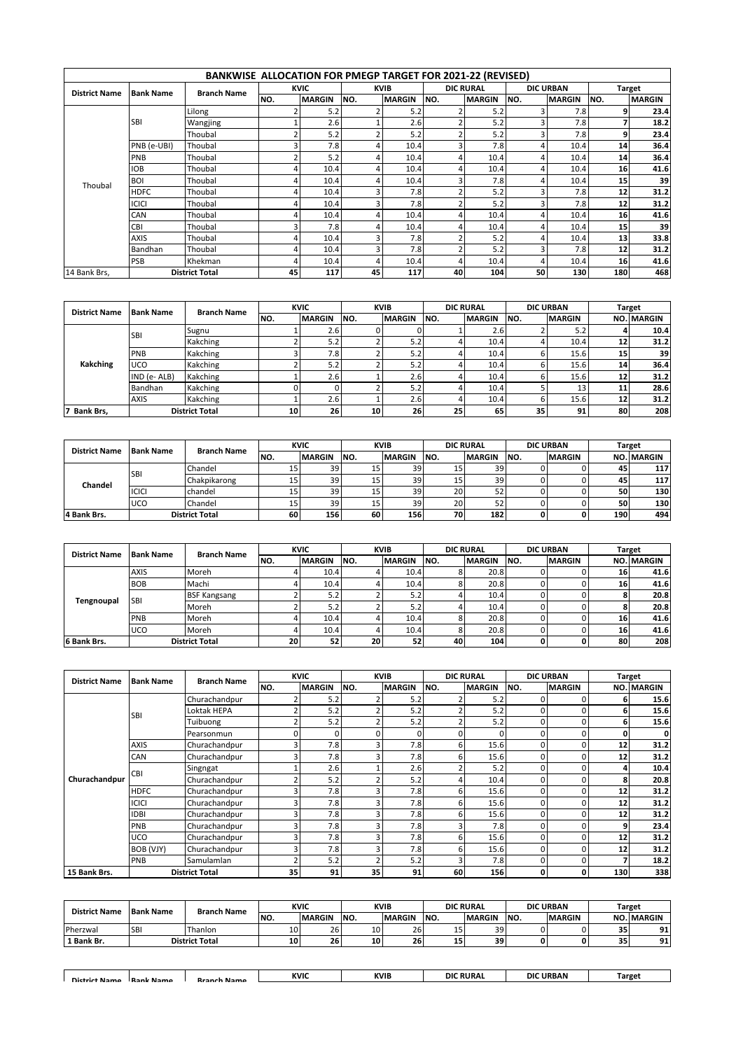|                      |                  | BANKWISE ALLOCATION FOR PMEGP TARGET FOR 2021-22 (REVISED) |                |               |     |               |      |                  |      |                  |      |               |
|----------------------|------------------|------------------------------------------------------------|----------------|---------------|-----|---------------|------|------------------|------|------------------|------|---------------|
|                      | <b>Bank Name</b> |                                                            |                | <b>KVIC</b>   |     | <b>KVIB</b>   |      | <b>DIC RURAL</b> |      | <b>DIC URBAN</b> |      | <b>Target</b> |
| <b>District Name</b> |                  | <b>Branch Name</b>                                         | NO.            | <b>MARGIN</b> | NO. | <b>MARGIN</b> | INO. | <b>MARGIN</b>    | INO. | <b>MARGIN</b>    | INO. | <b>MARGIN</b> |
|                      |                  | Lilong                                                     | 2              | 5.2           |     | 5.2           |      | 5.2              |      | 7.8              | q    | 23.4          |
|                      | <b>SBI</b>       | Wangjing                                                   |                | 2.6           |     | 2.6           |      | 5.2              |      | 7.8              |      | 18.2          |
|                      |                  | Thoubal                                                    | $\overline{2}$ | 5.2           |     | 5.2           |      | 5.2              |      | 7.8              | q    | 23.4          |
|                      | PNB (e-UBI)      | Thoubal                                                    | 3              | 7.8           |     | 10.4          |      | 7.8              |      | 10.4             | 14   | 36.4          |
|                      | PNB              | Thoubal                                                    | $\overline{2}$ | 5.2           | 4   | 10.4          |      | 10.4             |      | 10.4             | 14   | 36.4          |
|                      | <b>IOB</b>       | Thoubal                                                    | 4              | 10.4          | 4   | 10.4          |      | 10.4             |      | 10.4             | 16   | 41.6          |
| Thoubal              | <b>BOI</b>       | Thoubal                                                    | 4              | 10.4          |     | 10.4          |      | 7.8              |      | 10.4             | 15   | 39            |
|                      | <b>HDFC</b>      | Thoubal                                                    | 4              | 10.4          |     | 7.8           |      | 5.2              |      | 7.8              | 12   | 31.2          |
|                      | <b>ICICI</b>     | Thoubal                                                    | 4              | 10.4          | Р   | 7.8           |      | 5.2              |      | 7.8              | 12   | 31.2          |
|                      | CAN              | Thoubal                                                    | 4              | 10.4          |     | 10.4          |      | 10.4             |      | 10.4             | 16   | 41.6          |
|                      | CBI              | Thoubal                                                    | 3              | 7.8           |     | 10.4          |      | 10.4             |      | 10.4             | 15   | 39            |
|                      | <b>AXIS</b>      | Thoubal                                                    | 4              | 10.4          |     | 7.8           |      | 5.2              |      | 10.4             | 13   | 33.8          |
|                      | <b>Bandhan</b>   | Thoubal                                                    | 4              | 10.4          |     | 7.8           |      | 5.2              |      | 7.8              | 12   | 31.2          |
|                      | PSB              | Khekman                                                    | 4              | 10.4          |     | 10.4          |      | 10.4             |      | 10.4             | 16   | 41.6          |
| 14 Bank Brs,         |                  | <b>District Total</b>                                      | 45             | 117           | 45  | 117           | 40   | 104              | 50   | 130              | 180  | 468           |

| <b>District Name</b> | <b>Bank Name</b> | <b>Branch Name</b>    |     | <b>KVIC</b>   |     | <b>KVIB</b>   |      | <b>DIC RURAL</b> |      | <b>DIC URBAN</b> |    | <b>Target</b> |
|----------------------|------------------|-----------------------|-----|---------------|-----|---------------|------|------------------|------|------------------|----|---------------|
|                      |                  |                       | NO. | <b>MARGIN</b> | NO. | <b>MARGIN</b> | INO. | <b>MARGIN</b>    | INO. | <b>MARGIN</b>    |    | NO. MARGIN    |
|                      | <b>SBI</b>       | Sugnu                 |     | 2.6           |     |               |      | 2.6              |      | 5.2              |    | 10.4          |
|                      |                  | Kakching              |     | 5.2           |     | 5.2           |      | 10.4             |      | 10.4             | 12 | 31.2          |
| Kakching             | PNB              | Kakching              |     | 7.81          |     | 5.2           |      | 10.4             |      | 15.6             | 15 | 39            |
|                      | UCO.             | Kakching              |     | 5.2           |     | 5.2           |      | 10.4             |      | 15.6             | 14 | 36.4          |
|                      | $IND (e-ALB)$    | Kakching              |     | 2.6           |     | 2.6           |      | 10.4             |      | 15.6             | 12 | 31.2          |
|                      | <b>Bandhan</b>   | Kakching              |     |               |     | 5.2           |      | 10.4             |      | 13               | 11 | 28.6          |
|                      | <b>AXIS</b>      | Kakching              |     | 2.6           |     | 2.6           |      | 10.4             |      | 15.6             | 12 | 31.2          |
| <b>Bank Brs,</b>     |                  | <b>District Total</b> | 10  | 26            | 10  | 26            | 25   | 65               | 35   | 91               | 80 | 208           |

| <b>District Name</b> | <b>Bank Name</b> | <b>Branch Name</b>    |      | <b>KVIC</b>     |      | KVIB          |                 | <b>DIC RURAL</b> |     | <b>DIC URBAN</b> |     | Target            |
|----------------------|------------------|-----------------------|------|-----------------|------|---------------|-----------------|------------------|-----|------------------|-----|-------------------|
|                      |                  |                       | INO. | <b>MARGIN</b>   | INO. | <b>MARGIN</b> | INO.            | <b>MARGIN</b>    | NO. | <b>MARGIN</b>    |     | <b>NO. MARGIN</b> |
| Chandel              | <b>ISBI</b>      | Chandel               | 15   | 39              | 15   | 39            | 15              | 39 <sub>1</sub>  |     |                  | 45  | 117               |
|                      |                  | Chakpikarong          | 15   | 39 <sub>1</sub> | 15   | 39            | 15              | 39               |     |                  | 45  | 117               |
|                      | <b>ICICI</b>     | Ichandel              | 15   | 39 <sub>1</sub> | 15   | 39            | 20 <sub>1</sub> | 52               |     |                  | 50  | 130               |
|                      | <b>UCO</b>       | Chandel               | 15   | 39              | 15   | 39            | 20 <sub>1</sub> | 52               |     |                  | 50  | 130               |
| 4 Bank Brs.          |                  | <b>District Total</b> | 60   | 156             | 60   | 156           | 70              | 182              |     |                  | 190 | 494               |

| <b>District Name</b> | <b>Bank Name</b> | <b>Branch Name</b>    |     | <b>KVIC</b>   |      | <b>KVIB</b>   |      | <b>DIC RURAL</b> |      | <b>DIC URBAN</b> |    | <b>Target</b>     |
|----------------------|------------------|-----------------------|-----|---------------|------|---------------|------|------------------|------|------------------|----|-------------------|
|                      |                  |                       | NO. | <b>MARGIN</b> | INO. | <b>MARGIN</b> | INO. | <b>MARGIN</b>    | INO. | <b>MARGIN</b>    |    | <b>NO. MARGIN</b> |
|                      | <b>AXIS</b>      | Moreh                 |     | 10.4          |      | 10.4          |      | 20.8             |      |                  | 16 | 41.6              |
|                      | <b>BOB</b>       | Machi                 |     | 10.4          |      | 10.4          |      | 20.8             |      |                  | 16 | 41.6              |
|                      | <b>SBI</b>       | <b>BSF Kangsang</b>   |     | 5.2           |      | 5.2           |      | 10.4             |      |                  |    | 20.8              |
| Tengnoupal           |                  | Moreh                 |     | 5.2           |      | 5.2           |      | 10.4             |      |                  |    | 20.8              |
|                      | PNB              | Moreh                 |     | 10.4          |      | 10.4          |      | 20.8             |      |                  | 16 | 41.6              |
|                      | <b>UCO</b>       | Moreh                 |     | 10.4          |      | 10.4          |      | 20.8             |      |                  | 16 | 41.6              |
| 6 Bank Brs.          |                  | <b>District Total</b> | 20  | 52            | 20   | 52            | 40   | 104              |      |                  | 80 | 208               |

| <b>District Name</b> | <b>Bank Name</b> | <b>Branch Name</b>    |                | <b>KVIC</b>   |          | KVIB          |     | <b>DIC RURAL</b> |     | <b>DIC URBAN</b> |     | <b>Target</b> |
|----------------------|------------------|-----------------------|----------------|---------------|----------|---------------|-----|------------------|-----|------------------|-----|---------------|
|                      |                  |                       | NO.            | <b>MARGIN</b> | NO.      | <b>MARGIN</b> | NO. | <b>MARGIN</b>    | NO. | <b>MARGIN</b>    | NO. | <b>MARGIN</b> |
|                      |                  | Churachandpur         |                | 5.2           |          | 5.2           |     | 5.2              |     |                  |     | 15.6          |
|                      | <b>SBI</b>       | Loktak HEPA           | 2              | 5.2           |          | 5.2           |     | 5.2              |     | 0                | 6   | 15.6          |
|                      |                  | Tuibuong              | $\overline{2}$ | 5.2           |          | 5.2           |     | 5.2              |     | 0                |     | 15.6          |
|                      |                  | Pearsonmun            | $\Omega$       | $\Omega$      | $\Omega$ |               |     | 0                | 0   | 0                | 0   | 0             |
|                      | <b>AXIS</b>      | Churachandpur         | 3              | 7.8           | p        | 7.8           | ь   | 15.6             | ŋ   | 0                | 12  | 31.2          |
|                      | CAN              | Churachandpur         | 3              | 7.8           |          | 7.8           | h   | 15.6             |     | 0                | 12  | 31.2          |
|                      | <b>CBI</b>       | Singngat              |                | 2.6           |          | 2.6           |     | 5.2              |     | 0                |     | 10.4          |
| Churachandpur        |                  | Churachandpur         | $\overline{2}$ | 5.2           |          | 5.2           |     | 10.4             |     | 0                | 8   | 20.8          |
|                      | <b>HDFC</b>      | Churachandpur         | 3              | 7.8           |          | 7.8           |     | 15.6             |     | 0                | 12  | 31.2          |
|                      | <b>ICICI</b>     | Churachandpur         | 3              | 7.8           | h        | 7.8           |     | 15.6             | 0   | 0                | 12  | 31.2          |
|                      | <b>IDBI</b>      | Churachandpur         | 3              | 7.8           |          | 7.8           | n   | 15.6             | O   | 0                | 12  | 31.2          |
|                      | PNB              | Churachandpur         | 3              | 7.8           |          | 7.8           |     | 7.8              | ŋ   | 0                | 9   | 23.4          |
|                      | UCO              | Churachandpur         | 3              | 7.8           | 3        | 7.8           | b   | 15.6             | 0   | 0                | 12  | 31.2          |
|                      | BOB (VJY)        | Churachandpur         | 3              | 7.8           |          | 7.8           | b   | 15.6             | ŋ   | 0                | 12  | 31.2          |
|                      | PNB              | Samulamlan            | $\overline{2}$ | 5.2           |          | 5.2           |     | 7.8              | 0   | 0                |     | 18.2          |
| 15 Bank Brs.         |                  | <b>District Total</b> | 35             | 91            | 35       | 91            | 60  | 156              | 0   | 0                | 130 | 338           |

| <b>District Name</b> | <b>Bank Name</b> | <b>Branch Name</b>    |      | KVIC          |      | <b>KVIB</b>   | <b>DIC RURAL</b> |               |      | <b>DIC URBAN</b> |     | Target   |
|----------------------|------------------|-----------------------|------|---------------|------|---------------|------------------|---------------|------|------------------|-----|----------|
|                      |                  |                       | INO. | <b>MARGIN</b> | INO. | <b>MARGIN</b> | INO.             | <b>MARGIN</b> | INO. | <b>MARGIN</b>    | NO. | . MARGIN |
| Pherzwal             | <b>SB</b>        | Thanlon               | 10   | 26            | 10   | 26            | --               | 39            |      |                  | 35  | 91       |
| 1 Bank Br.           |                  | <b>District Total</b> |      | 26<br>10      | 10   | 26            | 15               | 39            |      |                  | 35  | 91       |

| Name<br>'Nc | : Name<br>Rant | <b>Namo</b><br><b>Rranc</b><br>-- | <b>KVIC</b> | <b>KVIB</b> | DIC RURA. | <b>URBAN</b><br>DIC | $2$ raat |
|-------------|----------------|-----------------------------------|-------------|-------------|-----------|---------------------|----------|
|             |                |                                   |             |             |           |                     |          |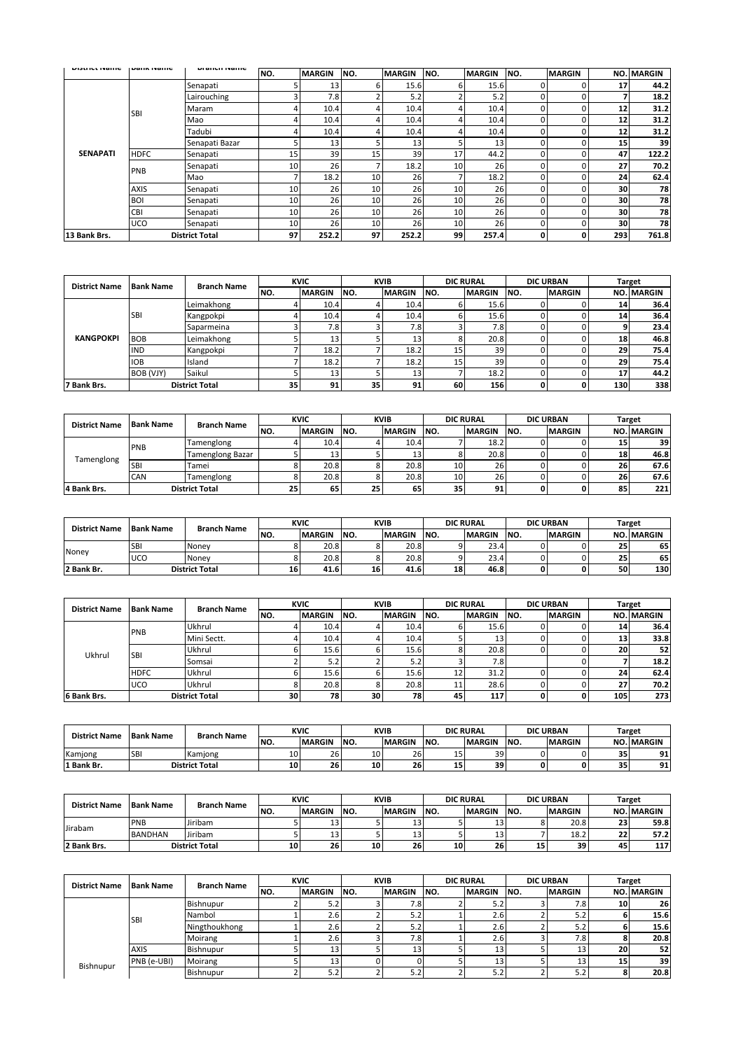| <b>DISUILLIVAILE</b> | i warin maring | <b>DIGITURI INGHIE</b> | NO. | <b>MARGIN</b> | NO. | <b>MARGIN</b> | NO. | <b>MARGIN</b> | NO. | <b>MARGIN</b> |     | <b>NO. MARGIN</b> |
|----------------------|----------------|------------------------|-----|---------------|-----|---------------|-----|---------------|-----|---------------|-----|-------------------|
|                      |                | Senapati               | 5   | 13            | 6   | 15.6          | h   | 15.6          |     | 0             | 17  | 44.2              |
|                      |                | Lairouching            | 3   | 7.8           |     | 5.2           |     | 5.2           |     | 0             |     | 18.2              |
|                      | <b>SBI</b>     | Maram                  | 4   | 10.4          |     | 10.4          |     | 10.4          | r   | 0             | 12  | 31.2              |
|                      |                | Mao                    | 4   | 10.4          |     | 10.4          |     | 10.4          |     | 0             | 12  | 31.2              |
| <b>SENAPATI</b>      |                | Tadubi                 | 4   | 10.4          |     | 10.4          |     | 10.4          |     | 0             | 12  | 31.2              |
|                      |                | Senapati Bazar         | 5   | 13            |     | 13            |     | 13            |     | 0             | 15  | 39                |
|                      | <b>HDFC</b>    | Senapati               | 15  | 39            | 15  | 39            | 17  | 44.2          |     | 0             | 47  | 122.2             |
|                      | PNB            | Senapati               | 10  | 26            |     | 18.2          | 10  | 26            |     | 0             | 27  | 70.2              |
|                      |                | Mao                    | 7   | 18.2          | 10  | 26            |     | 18.2          |     | 0             | 24  | 62.4              |
|                      | <b>AXIS</b>    | Senapati               | 10  | 26            | 10  | 26            | 10  | 26            |     | 0             | 30  | 78                |
|                      | <b>BOI</b>     | Senapati               | 10  | 26            | 10  | 26            | 10  | 26            |     | 0             | 30  | 78                |
|                      | <b>CBI</b>     | Senapati               | 10  | 26            | 10  | 26            | 10  | 26            |     | 0             | 30  | 78                |
|                      | <b>UCO</b>     | Senapati               | 10  | 26            | 10  | 26            | 10  | 26            |     | 0             | 30  | 78                |
| 13 Bank Brs.         |                | <b>District Total</b>  | 97  | 252.2         | 97  | 252.2         | 99  | 257.4         | 0   | 0             | 293 | 761.8             |

| <b>District Name</b> | <b>Bank Name</b> | <b>Branch Name</b>    |     | <b>KVIC</b>      |     | <b>KVIB</b>   |      | <b>DIC RURAL</b> |      | <b>DIC URBAN</b> |     | <b>Target</b>     |
|----------------------|------------------|-----------------------|-----|------------------|-----|---------------|------|------------------|------|------------------|-----|-------------------|
|                      |                  |                       | NO. | <b>MARGIN</b>    | NO. | <b>MARGIN</b> | INO. | <b>MARGIN</b>    | INO. | <b>MARGIN</b>    |     | <b>NO. MARGIN</b> |
|                      |                  | Leimakhong            |     | 10.4             |     | 10.4          |      | 15.6             |      |                  | 14  | 36.4              |
| <b>KANGPOKPI</b>     | <b>SBI</b>       | Kangpokpi             |     | 10.4             |     | 10.4          |      | 15.6             |      |                  | 14  | 36.4              |
|                      |                  | Saparmeina            |     | 7.8 <sub>1</sub> |     | 7.8           |      | 7.81             |      |                  |     | 23.4              |
|                      | <b>BOB</b>       | Leimakhong            |     | 13               |     | 13            |      | 20.8             |      |                  | 18  | 46.8              |
|                      | <b>IND</b>       | Kangpokpi             |     | 18.2             |     | 18.2          | 15   | 39 <sub>1</sub>  |      |                  | 29  | 75.4              |
|                      | <b>IOB</b>       | Island                |     | 18.2             |     | 18.2          | 15   | 39               |      |                  | 29  | 75.4              |
|                      | BOB (VJY)        | Saikul                |     | 13 <sub>1</sub>  |     | 13            |      | 18.2             |      |                  |     | 44.2              |
| 7 Bank Brs.          |                  | <b>District Total</b> | 35  | 91               | 35  | 91            | 60   | 156              |      | 0                | 130 | 338               |

| <b>District Name</b> | <b>Bank Name</b> | <b>Branch Name</b>      |     | <b>KVIC</b>   |      | <b>KVIB</b>       |      | <b>DIC RURAL</b> |      | <b>DIC URBAN</b> |    | Target            |
|----------------------|------------------|-------------------------|-----|---------------|------|-------------------|------|------------------|------|------------------|----|-------------------|
|                      |                  |                         | NO. | <b>MARGIN</b> | INO. | <b>MARGIN</b>     | INO. | <b>MARGIN</b>    | INO. | <b>MARGIN</b>    |    | <b>NO. MARGIN</b> |
| Tamenglong           | PNB              | Tamenglong              |     | 10.4          |      | 10.4 <sub>1</sub> |      | 18.2             |      |                  | 15 | 39                |
|                      |                  | <b>Tamenglong Bazar</b> |     | 13            |      | 13                |      | 20.8             |      |                  | 18 | 46.8              |
|                      | <b>SBI</b>       | Tamei                   |     | 20.8          |      | 20.8              | 10   | 26               |      |                  | 26 | 67.6              |
|                      | <b>CAN</b>       | Tamenglong              |     | 20.8          |      | 20.8              | 10   | 26               |      |                  | 26 | 67.6              |
| 4 Bank Brs.          |                  | <b>District Total</b>   | 25  | 65            | 25   | 65                | 35   | 91               |      | 0                | 85 | 221               |

| <b>District Name</b> | <b>Bank Name</b> | <b>Branch Name</b>    |     | <b>KVIC</b>   |      | <b>KVIB</b>   |      | <b>DIC RURAL</b> |     | <b>DIC URBAN</b> |    | Target            |
|----------------------|------------------|-----------------------|-----|---------------|------|---------------|------|------------------|-----|------------------|----|-------------------|
|                      |                  |                       | NO. | <b>MARGIN</b> | INO. | <b>MARGIN</b> | INO. | <b>MARGIN</b>    | NO. | <b>MARGIN</b>    |    | <b>NO. MARGIN</b> |
| Noney                | <b>SBI</b>       | Noney                 |     | 20.8          |      | 20.8          |      | 23.4             |     |                  | 25 | 65                |
|                      | UCO              | Noney                 |     | 20.8          |      | 20.8          |      | 23.4             |     |                  | 25 | 65                |
| 2 Bank Br.           |                  | <b>District Total</b> | 16  | 41.6          | 16   | 41.6          | 18   | 46.8             |     | o                | 50 | 130               |

| <b>District Name</b> | <b>Bank Name</b> | <b>Branch Name</b>    |     | <b>KVIC</b>   |     | <b>KVIB</b>   |      | <b>DIC RURAL</b> |      | <b>DIC URBAN</b> |     | <b>Target</b>     |
|----------------------|------------------|-----------------------|-----|---------------|-----|---------------|------|------------------|------|------------------|-----|-------------------|
|                      |                  |                       | NO. | <b>MARGIN</b> | NO. | <b>MARGIN</b> | INO. | <b>MARGIN</b>    | INO. | <b>MARGIN</b>    |     | <b>NO. MARGIN</b> |
|                      | PNB              | Ukhrul                |     | 10.4          |     | 10.4          |      | 15.6             |      |                  | 14  | 36.4              |
|                      |                  | Mini Sectt.           |     | 10.4          |     | 10.4          |      | 13               |      |                  | 13  | 33.8              |
| Ukhrul               | <b>SBI</b>       | Ukhrul                |     | 15.6          |     | 15.6          |      | 20.8             |      |                  | 20  | 52                |
|                      |                  | Somsai                |     | 5.2           |     | 5.2           |      | 7.8              |      |                  |     | 18.2              |
|                      | <b>HDFC</b>      | Ukhrul                |     | 15.6          |     | 15.6          | ᅭ    | 31.2             |      |                  | 24  | 62.4              |
|                      | <b>UCO</b>       | Ukhrul                |     | 20.8          |     | 20.8          | ᆠ    | 28.6             |      |                  | -   | 70.2              |
| 6 Bank Brs.          |                  | <b>District Total</b> | 30  | 78            | 30  | 78            | 45   | 117              |      |                  | 105 | 273               |

| <b>District Name</b> | <b>Bank Name</b>      | <b>Branch Name</b> | <b>KVIC</b> |               | KVIB |               | <b>DIC RURAL</b> |               | <b>DIC URBAN</b> |               | Target     |                   |
|----------------------|-----------------------|--------------------|-------------|---------------|------|---------------|------------------|---------------|------------------|---------------|------------|-------------------|
|                      |                       |                    | NO.         | <b>MARGIN</b> | INO. | <b>MARGIN</b> | INO.             | <b>MARGIN</b> | INO.             | <b>MARGIN</b> |            | <b>NO. MARGIN</b> |
| Kamjong              | <b>SB</b>             | Kamjong            | 10          | 26            | 10   | 26            | ∸                | 39            |                  |               | 25<br>ر د  | 91                |
| ` Bank Br.           | <b>District Total</b> |                    | 10          | 26            | 10   | 26            | . .<br>15        | 39            |                  |               | or.<br>ر د | 91                |

| <b>District Name</b> | <b>Bank Name</b>      | <b>Branch Name</b> | <b>KVIC</b> |               | <b>KVIB</b> |               | <b>DIC RURAL</b> |               | <b>DIC URBAN</b> |               | Target       |                   |
|----------------------|-----------------------|--------------------|-------------|---------------|-------------|---------------|------------------|---------------|------------------|---------------|--------------|-------------------|
|                      |                       |                    | NO.         | <b>MARGIN</b> | INO.        | <b>MARGIN</b> | INO.             | <b>MARGIN</b> | INO.             | <b>MARGIN</b> |              | <b>NO. MARGIN</b> |
| Jirabam              | PNB                   | Jiribam            |             | 13            |             | ⊥⊃            |                  | 13            |                  | 20.8          | $\sim$<br>23 | 59.8              |
|                      | <b>BANDHAN</b>        | Jiribam            |             | 13            |             | ⊥⊃            |                  | 13            |                  | 18.2          | $\sim$<br>"  | 57.2              |
| 2 Bank Brs.          | <b>District Total</b> |                    | 10          | 26            | 10          | 26            | 10               | 26            | 15               | 39            | 45           | 117               |

| <b>District Name</b> | <b>Bank Name</b> | <b>Branch Name</b> | <b>KVIC</b> |                 | <b>KVIB</b> |               | <b>DIC RURAL</b> |               | <b>DIC URBAN</b> |                  | <b>Target</b> |            |
|----------------------|------------------|--------------------|-------------|-----------------|-------------|---------------|------------------|---------------|------------------|------------------|---------------|------------|
|                      |                  |                    | NO.         | <b>MARGIN</b>   | INO.        | <b>MARGIN</b> | INO.             | <b>MARGIN</b> | INO.             | <b>MARGIN</b>    |               | NO. MARGIN |
| Bishnupur            |                  | Bishnupur          |             | J.Z             |             | 7.8           |                  |               |                  | 7.8 <sub>1</sub> | <b>10</b>     | 26         |
|                      | <b>ISBI</b>      | Nambol             |             | 2.61            |             | 5.2           |                  | 2.6           |                  | 5.2              |               | 15.6       |
|                      |                  | Ningthoukhong      |             | 2.61            |             | 5.2           |                  | 2.6           |                  | 5.2              |               | 15.6       |
|                      |                  | Moirang            |             | 2.61            |             | 7.8           |                  | 2.6           |                  | 7.8              |               | 20.8       |
|                      | <b>AXIS</b>      | Bishnupur          |             | 13 <sup>1</sup> |             | 13            |                  | 13            |                  | 13               | 20            | 52         |
|                      | PNB (e-UBI)      | Moirang            |             | 13 <sub>1</sub> |             |               |                  | 13            |                  | 13               | 15            | 39         |
|                      |                  | Bishnupur          |             | 5.2             |             | 5.2           |                  |               |                  | 5.2              |               | 20.8       |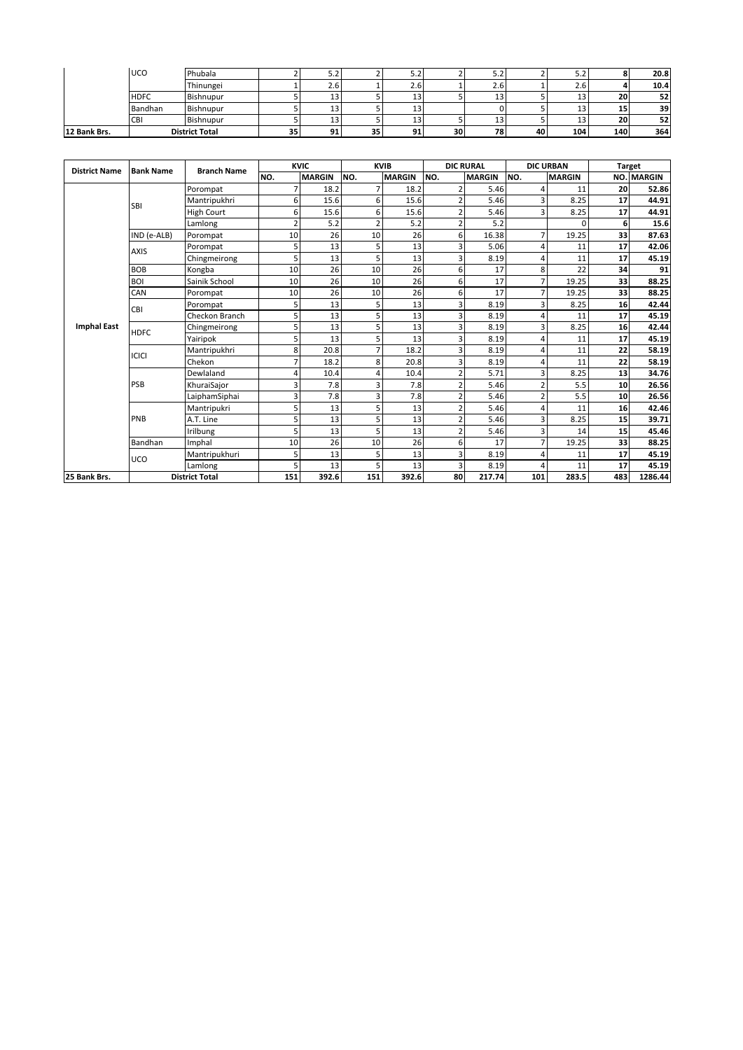| <b>CBI</b>     | Bishnupur | ⊥⊃    | 13  | 13    | 13  | 20 | 52   |
|----------------|-----------|-------|-----|-------|-----|----|------|
| <b>Bandhan</b> | Bishnupur | 13    | 13  |       | 13  | ᆈ  | 39   |
| <b>HDFC</b>    | Bishnupur | ᆦ     | 13  | 13    | 13  | 20 | 52   |
|                | Thinungei | 2.b   | 2.6 | 2.6   | 2.6 |    | 10.4 |
| <b>UCO</b>     | Phubala   | ے . د | ے.د | ے . د | ے.د |    | 20.8 |

| <b>District Name</b> | <b>Bank Name</b> | <b>Branch Name</b>    |                | <b>KVIC</b>   |                | <b>KVIB</b>   |     | <b>DIC RURAL</b> | <b>DIC URBAN</b> |               |     | <b>Target</b> |
|----------------------|------------------|-----------------------|----------------|---------------|----------------|---------------|-----|------------------|------------------|---------------|-----|---------------|
|                      |                  |                       | NO.            | <b>MARGIN</b> | NO.            | <b>MARGIN</b> | NO. | <b>MARGIN</b>    | NO.              | <b>MARGIN</b> | NO. | <b>MARGIN</b> |
|                      |                  | Porompat              | 7              | 18.2          | $\overline{7}$ | 18.2          |     | 5.46             |                  | 11            | 20  | 52.86         |
|                      | <b>SBI</b>       | Mantripukhri          | 6              | 15.6          | 6              | 15.6          |     | 5.46             | 3                | 8.25          | 17  | 44.91         |
|                      |                  | <b>High Court</b>     | 6              | 15.6          | 6              | 15.6          |     | 5.46             | 3                | 8.25          | 17  | 44.91         |
|                      |                  | Lamlong               | $\overline{2}$ | 5.2           | $\overline{2}$ | 5.2           |     | 5.2              |                  | ŋ             | 6   | 15.6          |
|                      | IND (e-ALB)      | Porompat              | 10             | 26            | 10             | 26            |     | 16.38            | 7                | 19.25         | 33  | 87.63         |
|                      | <b>AXIS</b>      | Porompat              | 5              | 13            | 5              | 13            |     | 5.06             | 4                | 11            | 17  | 42.06         |
|                      |                  | Chingmeirong          | 5              | 13            | 5              | 13            | 3   | 8.19             | 4                | 11            | 17  | 45.19         |
|                      | <b>BOB</b>       | Kongba                | 10             | 26            | 10             | 26            | 6   | 17               | 8                | 22            | 34  | 91            |
|                      | <b>BOI</b>       | Sainik School         | 10             | 26            | 10             | 26            | 6   | 17               | 7                | 19.25         | 33  | 88.25         |
|                      | CAN              | Porompat              | 10             | 26            | 10             | 26            | 6   | 17               | 7                | 19.25         | 33  | 88.25         |
|                      | CBI              | Porompat              | 5              | 13            | 5              | 13            |     | 8.19             | 3                | 8.25          | 16  | 42.44         |
|                      |                  | Checkon Branch        | 5              | 13            | 5              | 13            |     | 8.19             | 4                | 11            | 17  | 45.19         |
| <b>Imphal East</b>   | <b>HDFC</b>      | Chingmeirong          | 5              | 13            | 5              | 13            | 3   | 8.19             | 3                | 8.25          | 16  | 42.44         |
|                      |                  | Yairipok              | 5              | 13            | 5              | 13            | ຳ   | 8.19             | 4                | 11            | 17  | 45.19         |
|                      | <b>ICICI</b>     | Mantripukhri          | 8              | 20.8          | 7              | 18.2          |     | 8.19             | 4                | 11            | 22  | 58.19         |
|                      |                  | Chekon                | 7              | 18.2          | 8              | 20.8          | 3   | 8.19             | 4                | 11            | 22  | 58.19         |
|                      |                  | Dewlaland             | 4              | 10.4          | 4              | 10.4          |     | 5.71             | 3                | 8.25          | 13  | 34.76         |
|                      | PSB              | KhuraiSajor           | $\overline{3}$ | 7.8           | 3              | 7.8           |     | 5.46             | $\overline{2}$   | 5.5           | 10  | 26.56         |
|                      |                  | LaiphamSiphai         | 3              | 7.8           | $\overline{3}$ | 7.8           |     | 5.46             | 2                | 5.5           | 10  | 26.56         |
|                      |                  | Mantripukri           | 5              | 13            | 5              | 13            |     | 5.46             | 4                | 11            | 16  | 42.46         |
|                      | PNB              | A.T. Line             | 5              | 13            | 5              | 13            |     | 5.46             | 3                | 8.25          | 15  | 39.71         |
|                      |                  | Irilbung              | 5              | 13            | 5              | 13            |     | 5.46             | 3                | 14            | 15  | 45.46         |
|                      | Bandhan          | Imphal                | 10             | 26            | 10             | 26            | 6   | 17               | 7                | 19.25         | 33  | 88.25         |
|                      | UCO              | Mantripukhuri         | 5              | 13            | 5              | 13            |     | 8.19             | 4                | 11            | 17  | 45.19         |
|                      |                  | Lamlong               | 5              | 13            | 5              | 13            |     | 8.19             | Δ                | 11            | 17  | 45.19         |
| 25 Bank Brs.         |                  | <b>District Total</b> | 151            | 392.6         | 151            | 392.6         | 80  | 217.74           | 101              | 283.5         | 483 | 1286.44       |